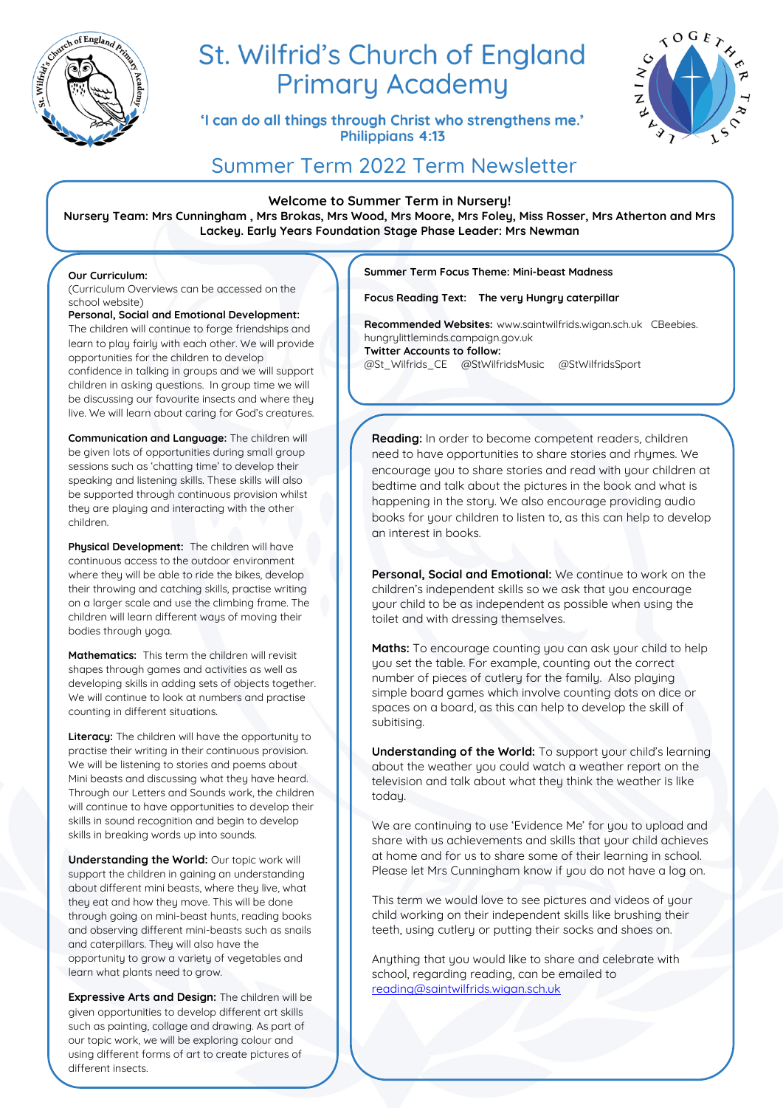

# St. Wilfrid's Church of England **Primary Academy**

'I can do all things through Christ who strengthens me.' **Philippians 4:13** 



# Summer Term 2022 Term Newsletter

**Welcome to Summer Term in Nursery!**

**Nursery Team: Mrs Cunningham , Mrs Brokas, Mrs Wood, Mrs Moore, Mrs Foley, Miss Rosser, Mrs Atherton and Mrs Lackey. Early Years Foundation Stage Phase Leader: Mrs Newman**

### **Our Curriculum:**

children.

(Curriculum Overviews can be accessed on the school website)

**Personal, Social and Emotional Development:** The children will continue to forge friendships and learn to play fairly with each other. We will provide opportunities for the children to develop confidence in talking in groups and we will support children in asking questions. In group time we will be discussing our favourite insects and where they

**Communication and Language:** The children will be given lots of opportunities during small group sessions such as 'chatting time' to develop their speaking and listening skills. These skills will also be supported through continuous provision whilst they are playing and interacting with the other

live. We will learn about caring for God's creatures.

**Physical Development:** The children will have continuous access to the outdoor environment where they will be able to ride the bikes, develop their throwing and catching skills, practise writing on a larger scale and use the climbing frame. The children will learn different ways of moving their bodies through yoga.

**Mathematics:** This term the children will revisit shapes through games and activities as well as developing skills in adding sets of objects together. We will continue to look at numbers and practise counting in different situations.

**Literacy:** The children will have the opportunity to practise their writing in their continuous provision. We will be listening to stories and poems about Mini beasts and discussing what they have heard. Through our Letters and Sounds work, the children will continue to have opportunities to develop their skills in sound recognition and begin to develop skills in breaking words up into sounds.

**Understanding the World: Our topic work will** support the children in gaining an understanding about different mini beasts, where they live, what they eat and how they move. This will be done through going on mini-beast hunts, reading books and observing different mini-beasts such as snails and caterpillars. They will also have the opportunity to grow a variety of vegetables and learn what plants need to grow.

**Expressive Arts and Design:** The children will be given opportunities to develop different art skills such as painting, collage and drawing. As part of our topic work, we will be exploring colour and using different forms of art to create pictures of different insects.

**Summer Term Focus Theme: Mini-beast Madness**

**Focus Reading Text: The very Hungry caterpillar**

**Recommended Websites:** www.saintwilfrids.wigan.sch.uk CBeebies. hungrylittleminds.campaign.gov.uk **Twitter Accounts to follow:**  @St\_Wilfrids\_CE @StWilfridsMusic @StWilfridsSport

**Reading:** In order to become competent readers, children need to have opportunities to share stories and rhymes. We encourage you to share stories and read with your children at bedtime and talk about the pictures in the book and what is happening in the story. We also encourage providing audio books for your children to listen to, as this can help to develop an interest in books.

**Personal, Social and Emotional:** We continue to work on the children's independent skills so we ask that you encourage your child to be as independent as possible when using the toilet and with dressing themselves.

**Maths:** To encourage counting you can ask your child to help you set the table. For example, counting out the correct number of pieces of cutlery for the family. Also playing simple board games which involve counting dots on dice or spaces on a board, as this can help to develop the skill of subitising.

**Understanding of the World:** To support your child's learning about the weather you could watch a weather report on the television and talk about what they think the weather is like today.

We are continuing to use 'Evidence Me' for you to upload and share with us achievements and skills that your child achieves at home and for us to share some of their learning in school. Please let Mrs Cunningham know if you do not have a log on.

This term we would love to see pictures and videos of your child working on their independent skills like brushing their teeth, using cutlery or putting their socks and shoes on.

Anything that you would like to share and celebrate with school, regarding reading, can be emailed to [reading@saintwilfrids.wigan.sch.uk](mailto:reading@saintwilfrids.wigan.sch.uk)